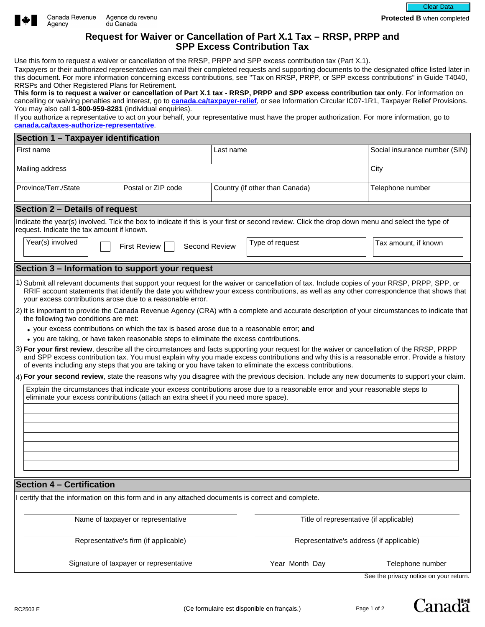



**Protected B** when completed

## **Request for Waiver or Cancellation of Part X.1 Tax – RRSP, PRPP and SPP Excess Contribution Tax**

Use this form to request a waiver or cancellation of the RRSP, PRPP and SPP excess contribution tax (Part X.1).

Taxpayers or their authorized representatives can mail their completed requests and supporting documents to the designated office listed later in this document. For more information concerning excess contributions, see "Tax on RRSP, PRPP, or SPP excess contributions" in Guide T4040, RRSPs and Other Registered Plans for Retirement.

**This form is to request a waiver or cancellation of Part X.1 tax - RRSP, PRPP and SPP excess contribution tax only**. For information on cancelling or waiving penalties and interest, go to **[canada.ca/taxpayer-relief](http://www.Canada.ca/taxpayer-relief)**, or see Information Circular IC07-1R1, Taxpayer Relief Provisions. You may also call **1-800-959-8281** (individual enquiries).

If you authorize a representative to act on your behalf, your representative must have the proper authorization. For more information, go to **[canada.ca/taxes-authorize-representative](https://www.canada.ca/en/revenue-agency/services/tax/representative-authorization.html)**.

| Section 1 - Taxpayer identification                                                                                                                                                                                                                                                                                                                                                                                                                                                                                                                                                                                                                                                                                                                                                                                                                                                                                                                                                                                                                                                                                                                                                                                                                                                                                                                                                                                                                                                                                          |                                             |                                          |  |
|------------------------------------------------------------------------------------------------------------------------------------------------------------------------------------------------------------------------------------------------------------------------------------------------------------------------------------------------------------------------------------------------------------------------------------------------------------------------------------------------------------------------------------------------------------------------------------------------------------------------------------------------------------------------------------------------------------------------------------------------------------------------------------------------------------------------------------------------------------------------------------------------------------------------------------------------------------------------------------------------------------------------------------------------------------------------------------------------------------------------------------------------------------------------------------------------------------------------------------------------------------------------------------------------------------------------------------------------------------------------------------------------------------------------------------------------------------------------------------------------------------------------------|---------------------------------------------|------------------------------------------|--|
| First name                                                                                                                                                                                                                                                                                                                                                                                                                                                                                                                                                                                                                                                                                                                                                                                                                                                                                                                                                                                                                                                                                                                                                                                                                                                                                                                                                                                                                                                                                                                   | Last name                                   | Social insurance number (SIN)            |  |
| Mailing address                                                                                                                                                                                                                                                                                                                                                                                                                                                                                                                                                                                                                                                                                                                                                                                                                                                                                                                                                                                                                                                                                                                                                                                                                                                                                                                                                                                                                                                                                                              |                                             | City                                     |  |
| Province/Terr./State<br>Postal or ZIP code<br>$\blacktriangledown$                                                                                                                                                                                                                                                                                                                                                                                                                                                                                                                                                                                                                                                                                                                                                                                                                                                                                                                                                                                                                                                                                                                                                                                                                                                                                                                                                                                                                                                           | Country (if other than Canada)              | Telephone number                         |  |
| Section 2 - Details of request                                                                                                                                                                                                                                                                                                                                                                                                                                                                                                                                                                                                                                                                                                                                                                                                                                                                                                                                                                                                                                                                                                                                                                                                                                                                                                                                                                                                                                                                                               |                                             |                                          |  |
| Indicate the year(s) involved. Tick the box to indicate if this is your first or second review. Click the drop down menu and select the type of<br>request. Indicate the tax amount if known.                                                                                                                                                                                                                                                                                                                                                                                                                                                                                                                                                                                                                                                                                                                                                                                                                                                                                                                                                                                                                                                                                                                                                                                                                                                                                                                                |                                             |                                          |  |
| Year(s) involved<br><b>Second Review</b><br><b>First Review</b>                                                                                                                                                                                                                                                                                                                                                                                                                                                                                                                                                                                                                                                                                                                                                                                                                                                                                                                                                                                                                                                                                                                                                                                                                                                                                                                                                                                                                                                              | Type of request<br>$\overline{\phantom{a}}$ | Tax amount, if known                     |  |
| Section 3 - Information to support your request                                                                                                                                                                                                                                                                                                                                                                                                                                                                                                                                                                                                                                                                                                                                                                                                                                                                                                                                                                                                                                                                                                                                                                                                                                                                                                                                                                                                                                                                              |                                             |                                          |  |
| 1) Submit all relevant documents that support your request for the waiver or cancellation of tax. Include copies of your RRSP, PRPP, SPP, or<br>RRIF account statements that identify the date you withdrew your excess contributions, as well as any other correspondence that shows that<br>your excess contributions arose due to a reasonable error.<br>2) It is important to provide the Canada Revenue Agency (CRA) with a complete and accurate description of your circumstances to indicate that<br>the following two conditions are met:<br>• your excess contributions on which the tax is based arose due to a reasonable error; and<br>• you are taking, or have taken reasonable steps to eliminate the excess contributions.<br>3) For your first review, describe all the circumstances and facts supporting your request for the waiver or cancellation of the RRSP, PRPP<br>and SPP excess contribution tax. You must explain why you made excess contributions and why this is a reasonable error. Provide a history<br>of events including any steps that you are taking or you have taken to eliminate the excess contributions.<br>4) For your second review, state the reasons why you disagree with the previous decision. Include any new documents to support your claim.<br>Explain the circumstances that indicate your excess contributions arose due to a reasonable error and your reasonable steps to<br>eliminate your excess contributions (attach an extra sheet if you need more space). |                                             |                                          |  |
| <b>Section 4 - Certification</b>                                                                                                                                                                                                                                                                                                                                                                                                                                                                                                                                                                                                                                                                                                                                                                                                                                                                                                                                                                                                                                                                                                                                                                                                                                                                                                                                                                                                                                                                                             |                                             |                                          |  |
| I certify that the information on this form and in any attached documents is correct and complete.                                                                                                                                                                                                                                                                                                                                                                                                                                                                                                                                                                                                                                                                                                                                                                                                                                                                                                                                                                                                                                                                                                                                                                                                                                                                                                                                                                                                                           |                                             |                                          |  |
| Name of taxpayer or representative                                                                                                                                                                                                                                                                                                                                                                                                                                                                                                                                                                                                                                                                                                                                                                                                                                                                                                                                                                                                                                                                                                                                                                                                                                                                                                                                                                                                                                                                                           |                                             | Title of representative (if applicable)  |  |
| Representative's firm (if applicable)                                                                                                                                                                                                                                                                                                                                                                                                                                                                                                                                                                                                                                                                                                                                                                                                                                                                                                                                                                                                                                                                                                                                                                                                                                                                                                                                                                                                                                                                                        |                                             | Representative's address (if applicable) |  |
| Signature of taxpayer or representative                                                                                                                                                                                                                                                                                                                                                                                                                                                                                                                                                                                                                                                                                                                                                                                                                                                                                                                                                                                                                                                                                                                                                                                                                                                                                                                                                                                                                                                                                      | Year Month Day                              | Telephone number                         |  |

See the privacy notice on your return.

Canadä